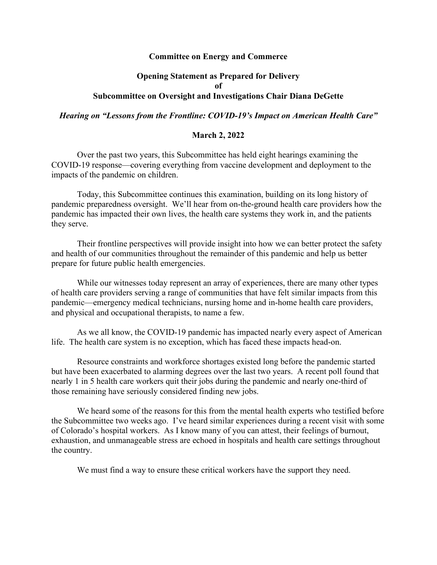## **Committee on Energy and Commerce**

## **Opening Statement as Prepared for Delivery of Subcommittee on Oversight and Investigations Chair Diana DeGette**

## *Hearing on "Lessons from the Frontline: COVID-19's Impact on American Health Care"*

## **March 2, 2022**

Over the past two years, this Subcommittee has held eight hearings examining the COVID-19 response—covering everything from vaccine development and deployment to the impacts of the pandemic on children.

Today, this Subcommittee continues this examination, building on its long history of pandemic preparedness oversight. We'll hear from on-the-ground health care providers how the pandemic has impacted their own lives, the health care systems they work in, and the patients they serve.

Their frontline perspectives will provide insight into how we can better protect the safety and health of our communities throughout the remainder of this pandemic and help us better prepare for future public health emergencies.

While our witnesses today represent an array of experiences, there are many other types of health care providers serving a range of communities that have felt similar impacts from this pandemic—emergency medical technicians, nursing home and in-home health care providers, and physical and occupational therapists, to name a few.

As we all know, the COVID-19 pandemic has impacted nearly every aspect of American life. The health care system is no exception, which has faced these impacts head-on.

Resource constraints and workforce shortages existed long before the pandemic started but have been exacerbated to alarming degrees over the last two years. A recent poll found that nearly 1 in 5 health care workers quit their jobs during the pandemic and nearly one-third of those remaining have seriously considered finding new jobs.

We heard some of the reasons for this from the mental health experts who testified before the Subcommittee two weeks ago. I've heard similar experiences during a recent visit with some of Colorado's hospital workers. As I know many of you can attest, their feelings of burnout, exhaustion, and unmanageable stress are echoed in hospitals and health care settings throughout the country.

We must find a way to ensure these critical workers have the support they need.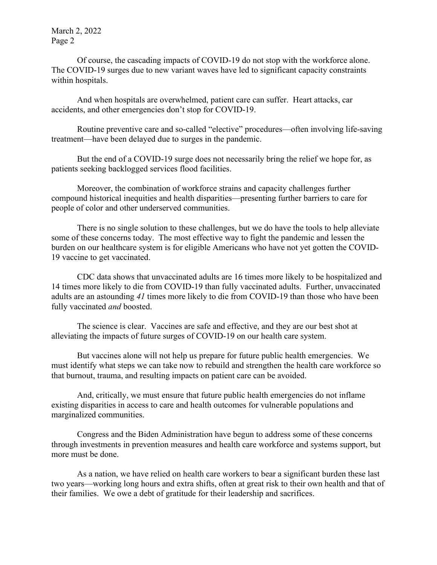March 2, 2022 Page 2

Of course, the cascading impacts of COVID-19 do not stop with the workforce alone. The COVID-19 surges due to new variant waves have led to significant capacity constraints within hospitals.

And when hospitals are overwhelmed, patient care can suffer. Heart attacks, car accidents, and other emergencies don't stop for COVID-19.

Routine preventive care and so-called "elective" procedures—often involving life-saving treatment—have been delayed due to surges in the pandemic.

But the end of a COVID-19 surge does not necessarily bring the relief we hope for, as patients seeking backlogged services flood facilities.

Moreover, the combination of workforce strains and capacity challenges further compound historical inequities and health disparities—presenting further barriers to care for people of color and other underserved communities.

There is no single solution to these challenges, but we do have the tools to help alleviate some of these concerns today. The most effective way to fight the pandemic and lessen the burden on our healthcare system is for eligible Americans who have not yet gotten the COVID-19 vaccine to get vaccinated.

CDC data shows that unvaccinated adults are 16 times more likely to be hospitalized and 14 times more likely to die from COVID-19 than fully vaccinated adults. Further, unvaccinated adults are an astounding *41* times more likely to die from COVID-19 than those who have been fully vaccinated *and* boosted.

The science is clear. Vaccines are safe and effective, and they are our best shot at alleviating the impacts of future surges of COVID-19 on our health care system.

But vaccines alone will not help us prepare for future public health emergencies. We must identify what steps we can take now to rebuild and strengthen the health care workforce so that burnout, trauma, and resulting impacts on patient care can be avoided.

And, critically, we must ensure that future public health emergencies do not inflame existing disparities in access to care and health outcomes for vulnerable populations and marginalized communities.

Congress and the Biden Administration have begun to address some of these concerns through investments in prevention measures and health care workforce and systems support, but more must be done.

As a nation, we have relied on health care workers to bear a significant burden these last two years—working long hours and extra shifts, often at great risk to their own health and that of their families. We owe a debt of gratitude for their leadership and sacrifices.